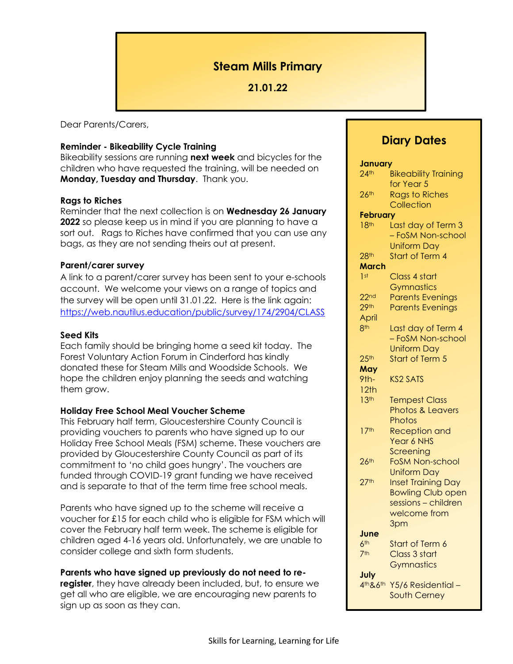# **Steam Mills Primary**

## **21.01.22**

Dear Parents/Carers,

## **Reminder - Bikeability Cycle Training**

Bikeability sessions are running **next week** and bicycles for the children who have requested the training, will be needed on **Monday, Tuesday and Thursday**. Thank you.

## **Rags to Riches**

Reminder that the next collection is on **Wednesday 26 January 2022** so please keep us in mind if you are planning to have a sort out. Rags to Riches have confirmed that you can use any bags, as they are not sending theirs out at present.

## **Parent/carer survey**

A link to a parent/carer survey has been sent to your e-schools account. We welcome your views on a range of topics and the survey will be open until 31.01.22. Here is the link again: <https://web.nautilus.education/public/survey/174/2904/CLASS>

#### **Seed Kits**

Each family should be bringing home a seed kit today. The Forest Voluntary Action Forum in Cinderford has kindly donated these for Steam Mills and Woodside Schools. We hope the children enjoy planning the seeds and watching them grow.

## **Holiday Free School Meal Voucher Scheme**

This February half term, Gloucestershire County Council is providing vouchers to parents who have signed up to our Holiday Free School Meals (FSM) scheme. These vouchers are provided by Gloucestershire County Council as part of its commitment to 'no child goes hungry'. The vouchers are funded through COVID-19 grant funding we have received and is separate to that of the term time free school meals.

Parents who have signed up to the scheme will receive a voucher for £15 for each child who is eligible for FSM which will cover the February half term week. The scheme is eligible for children aged 4-16 years old. Unfortunately, we are unable to consider college and sixth form students.

#### **Parents who have signed up previously do not need to re-**

**register**, they have already been included, but, to ensure we get all who are eligible, we are encouraging new parents to sign up as soon as they can.

# **Diary Dates**

| January                                |                             |
|----------------------------------------|-----------------------------|
| $24$ <sup>th</sup>                     | <b>Bikeability Training</b> |
|                                        | for Year 5                  |
| 26 <sup>th</sup>                       | <b>Rags to Riches</b>       |
|                                        | Collection                  |
| <b>February</b>                        |                             |
| 18 <sup>th</sup><br>Last day of Term 3 |                             |
|                                        | - FoSM Non-school           |
|                                        | <b>Uniform Day</b>          |
| 28 <sup>th</sup>                       | Start of Term 4             |
| March                                  |                             |
| 1 <sup>st</sup>                        | Class 4 start               |
|                                        | Gymnastics                  |
| 22 <sub>nd</sub>                       | <b>Parents Evenings</b>     |
| 29 <sup>th</sup>                       |                             |
| April                                  | <b>Parents Evenings</b>     |
| 8 <sup>th</sup>                        |                             |
|                                        | Last day of Term 4          |
|                                        | - FoSM Non-school           |
|                                        | <b>Uniform Day</b>          |
| 25 <sup>th</sup>                       | Start of Term 5             |
| May                                    |                             |
| 9 <sub>th</sub>                        | <b>KS2 SATS</b>             |
| 12th                                   |                             |
| 13 <sup>th</sup>                       | <b>Tempest Class</b>        |
|                                        | <b>Photos &amp; Leavers</b> |
|                                        | Photos                      |
| 17 <sup>th</sup>                       | Reception and               |
|                                        | Year 6 NHS                  |
|                                        | Screening                   |
| $26$ th                                | <b>FoSM Non-school</b>      |
|                                        | <b>Uniform Day</b>          |
| 27 <sup>th</sup>                       | <b>Inset Training Day</b>   |
|                                        | Bowling Club open           |
|                                        | sessions - children         |
|                                        | welcome from                |
|                                        | 3pm                         |
| June                                   |                             |
| 6 <sup>th</sup>                        | Start of Term 6             |
| 7 <sup>th</sup>                        | Class 3 start               |
|                                        | Gymnastics                  |
| July                                   |                             |
| 4th&6th                                | Y5/6 Residential-           |
|                                        | South Cerney                |
|                                        |                             |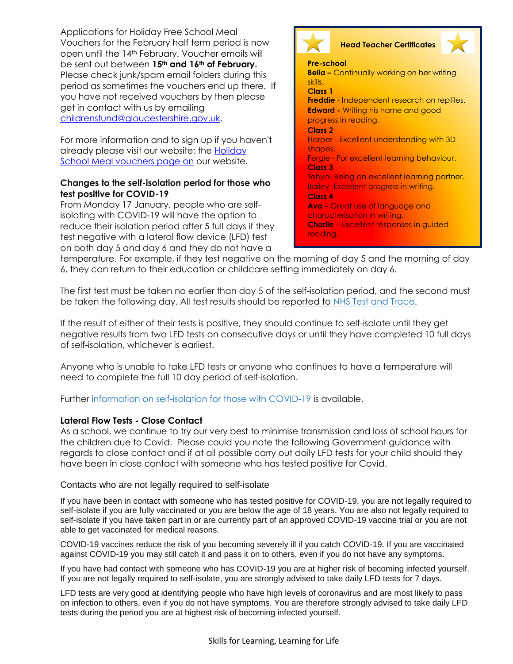Applications for Holiday Free School Meal Vouchers for the February half term period is now open until the 14th February. Voucher emails will be sent out between **15th and 16th of February.**  Please check junk/spam email folders during this period as sometimes the vouchers end up there.If you have not received vouchers by then please get in contact with us by emailing [childrensfund@gloucestershire.gov.uk.](mailto:childrensfund@gloucestershire.gov.uk)

For more information and to sign up if you haven't already please visit our website: the [Holiday](https://www.gloucestershire.gov.uk/holiday-school-meal-vouchers/)  [School Meal vouchers page on](https://www.gloucestershire.gov.uk/holiday-school-meal-vouchers/) our website.

## **Changes to the self-isolation period for those who test positive for COVID-19**

From Monday 17 January, people who are selfisolating with COVID-19 will have the option to reduce their isolation period after 5 full days if they test negative with a lateral flow device (LFD) test on both day 5 and day 6 and they do not have a





**Pre-school Bella –** Continually working on her writing skills. **Class 1 Freddie** - Independent research on reptiles. **Edward -** Writing his name and good progress in reading. **Class 2** Harper - Excellent understanding with 3D shapes. Fergie - For excellent learning behaviour. **Class 3** Tehya- Being an excellent learning partner. Bailey- Excellent progress in writing. **Class 4 Ava** – Great use of language and characterisation in writing. **Charlie** – Excellent responses in guided reading.

temperature. For example, if they test negative on the morning of day 5 and the morning of day 6, they can return to their education or childcare setting immediately on day 6.

The first test must be taken no earlier than day 5 of the self-isolation period, and the second must be taken the following day. All test results should be reported to [NHS Test and Trace.](https://www.gov.uk/report-covid19-result?utm_source=14%20January%202022%20C19&utm_medium=Daily%20Email%20C19&utm_campaign=DfE%20C19)

If the result of either of their tests is positive, they should continue to self-isolate until they get negative results from two LFD tests on consecutive days or until they have completed 10 full days of self-isolation, whichever is earliest.

Anyone who is unable to take LFD tests or anyone who continues to have a temperature will need to complete the full 10 day period of self-isolation.

Further [information on self-isolation for those with COVID-19](https://www.gov.uk/government/news/self-isolation-for-those-with-covid-19-can-end-after-five-full-days-following-two-negative-lfd-tests?utm_source=14%20January%202022%20C19&utm_medium=Daily%20Email%20C19&utm_campaign=DfE%20C19) is available.

## **Lateral Flow Tests - Close Contact**

As a school, we continue to try our very best to minimise transmission and loss of school hours for the children due to Covid. Please could you note the following Government guidance with regards to close contact and if at all possible carry out daily LFD tests for your child should they have been in close contact with someone who has tested positive for Covid.

Contacts who are not legally required to self-isolate

If you have been in contact with someone who has tested positive for COVID-19, you are not legally required to self-isolate if you are fully vaccinated or you are below the age of 18 years. You are also not legally required to self-isolate if you have taken part in or are currently part of an approved COVID-19 vaccine trial or you are not able to get vaccinated for medical reasons.

COVID-19 vaccines reduce the risk of you becoming severely ill if you catch COVID-19. If you are vaccinated against COVID-19 you may still catch it and pass it on to others, even if you do not have any symptoms.

If you have had contact with someone who has COVID-19 you are at higher risk of becoming infected yourself. If you are not legally required to self-isolate, you are strongly advised to take daily LFD tests for 7 days.

LFD tests are very good at identifying people who have high levels of coronavirus and are most likely to pass on infection to others, even if you do not have symptoms. You are therefore strongly advised to take daily LFD tests during the period you are at highest risk of becoming infected yourself.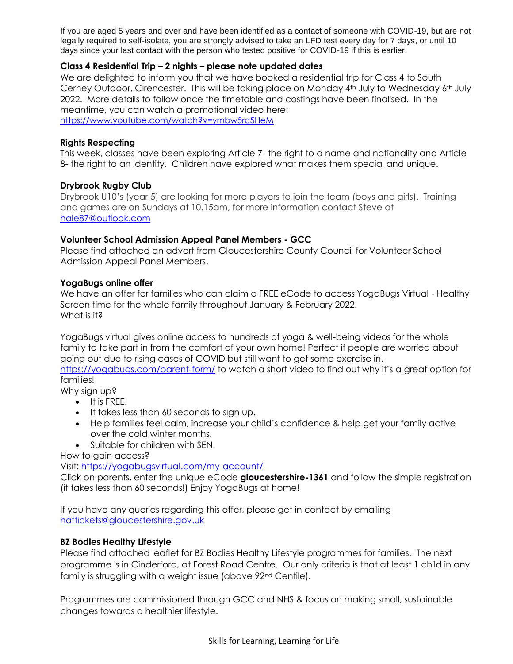If you are aged 5 years and over and have been identified as a contact of someone with COVID-19, but are not legally required to self-isolate, you are strongly advised to take an LFD test every day for 7 days, or until 10 days since your last contact with the person who tested positive for COVID-19 if this is earlier.

## **Class 4 Residential Trip – 2 nights – please note updated dates**

We are delighted to inform you that we have booked a residential trip for Class 4 to South Cerney Outdoor, Cirencester. This will be taking place on Monday 4th July to Wednesday 6th July 2022. More details to follow once the timetable and costings have been finalised. In the meantime, you can watch a promotional video here: <https://www.youtube.com/watch?v=ymbw5rc5HeM>

## **Rights Respecting**

This week, classes have been exploring Article 7- the right to a name and nationality and Article 8- the right to an identity. Children have explored what makes them special and unique.

## **Drybrook Rugby Club**

Drybrook U10's (year 5) are looking for more players to join the team (boys and girls). Training and games are on Sundays at 10.15am, for more information contact Steve at [hale87@outlook.com](mailto:hale87@outlook.com)

## **Volunteer School Admission Appeal Panel Members - GCC**

Please find attached an advert from Gloucestershire County Council for Volunteer School Admission Appeal Panel Members.

## **YogaBugs online offer**

We have an offer for families who can claim a FREE eCode to access YogaBugs Virtual - Healthy Screen time for the whole family throughout January & February 2022. What is it?

YogaBugs virtual gives online access to hundreds of yoga & well-being videos for the whole family to take part in from the comfort of your own home! Perfect if people are worried about going out due to rising cases of COVID but still want to get some exercise in.

<https://yogabugs.com/parent-form/> to watch a short video to find out why it's a great option for families!

Why sign up?

- It is FREE!
- **It takes less than 60 seconds to sign up.**
- Help families feel calm, increase your child's confidence & help get your family active over the cold winter months.
- Suitable for children with SEN.

How to gain access?

Visit:<https://yogabugsvirtual.com/my-account/>

Click on parents, enter the unique eCode **gloucestershire-1361** and follow the simple registration (it takes less than 60 seconds!) Enjoy YogaBugs at home!

If you have any queries regarding this offer, please get in contact by emailing [haftickets@gloucestershire.gov.uk](mailto:haftickets@gloucestershire.gov.uk)

#### **BZ Bodies Healthy Lifestyle**

Please find attached leaflet for BZ Bodies Healthy Lifestyle programmes for families. The next programme is in Cinderford, at Forest Road Centre. Our only criteria is that at least 1 child in any family is struggling with a weight issue (above 92<sup>nd</sup> Centile).

Programmes are commissioned through GCC and NHS & focus on making small, sustainable changes towards a healthier lifestyle.